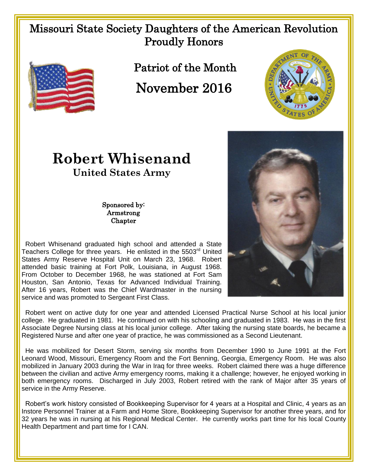## Missouri State Society Daughters of the American Revolution Proudly Honors



Patriot of the Month

## November 2016



## **Robert Whisenand United States Army**

Sponsored by: Armstrong **Chapter** 

 Robert Whisenand graduated high school and attended a State Teachers College for three years. He enlisted in the 5503<sup>rd</sup> United States Army Reserve Hospital Unit on March 23, 1968. Robert attended basic training at Fort Polk, Louisiana, in August 1968. From October to December 1968, he was stationed at Fort Sam Houston, San Antonio, Texas for Advanced Individual Training. After 16 years, Robert was the Chief Wardmaster in the nursing service and was promoted to Sergeant First Class.



 Robert went on active duty for one year and attended Licensed Practical Nurse School at his local junior college. He graduated in 1981. He continued on with his schooling and graduated in 1983. He was in the first Associate Degree Nursing class at his local junior college. After taking the nursing state boards, he became a Registered Nurse and after one year of practice, he was commissioned as a Second Lieutenant.

He was mobilized for Desert Storm, serving six months from December 1990 to June 1991 at the Fort Leonard Wood, Missouri, Emergency Room and the Fort Benning, Georgia, Emergency Room. He was also mobilized in January 2003 during the War in Iraq for three weeks. Robert claimed there was a huge difference between the civilian and active Army emergency rooms, making it a challenge; however, he enjoyed working in both emergency rooms. Discharged in July 2003, Robert retired with the rank of Major after 35 years of service in the Army Reserve.

 Robert's work history consisted of Bookkeeping Supervisor for 4 years at a Hospital and Clinic, 4 years as an Instore Personnel Trainer at a Farm and Home Store, Bookkeeping Supervisor for another three years, and for 32 years he was in nursing at his Regional Medical Center. He currently works part time for his local County Health Department and part time for I CAN.